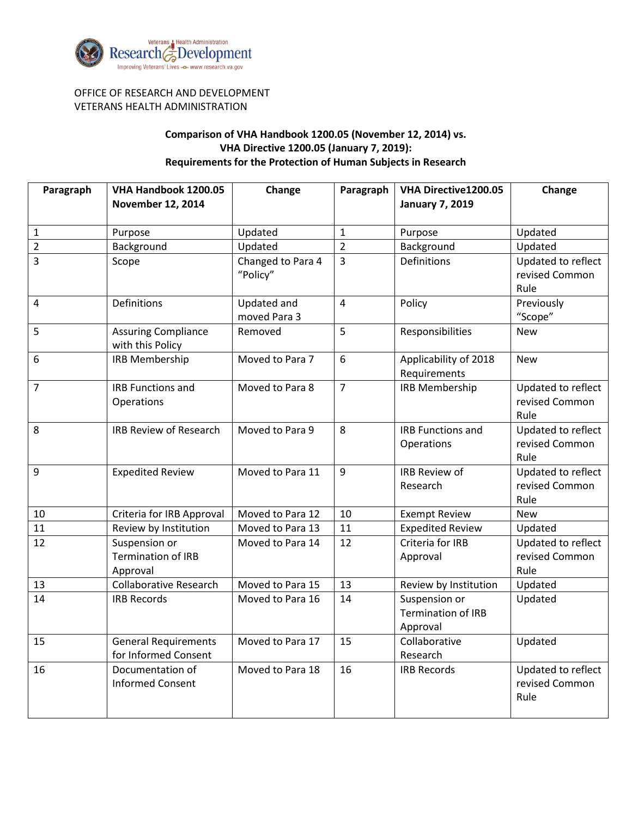

## OFFICE OF RESEARCH AND DEVELOPMENT VETERANS HEALTH ADMINISTRATION

## **Comparison of VHA Handbook 1200.05 (November 12, 2014) vs. VHA Directive 1200.05 (January 7, 2019): Requirements for the Protection of Human Subjects in Research**

| Paragraph      | VHA Handbook 1200.05          | Change            | Paragraph      | VHA Directive1200.05      | Change                     |
|----------------|-------------------------------|-------------------|----------------|---------------------------|----------------------------|
|                | <b>November 12, 2014</b>      |                   |                | <b>January 7, 2019</b>    |                            |
|                |                               |                   |                |                           |                            |
| $\mathbf{1}$   | Purpose                       | Updated           | $\mathbf 1$    | Purpose                   | Updated                    |
| $\overline{2}$ | Background                    | Updated           | $\overline{2}$ | Background                | Updated                    |
| 3              | Scope                         | Changed to Para 4 | 3              | <b>Definitions</b>        | Updated to reflect         |
|                |                               | "Policy"          |                |                           | revised Common             |
|                |                               |                   |                |                           | Rule                       |
| $\overline{4}$ | <b>Definitions</b>            | Updated and       | $\overline{4}$ | Policy                    | Previously                 |
|                |                               | moved Para 3      |                |                           | "Scope"                    |
| 5              | <b>Assuring Compliance</b>    | Removed           | 5              | Responsibilities          | <b>New</b>                 |
|                | with this Policy              |                   |                |                           |                            |
| 6              | <b>IRB Membership</b>         | Moved to Para 7   | 6              | Applicability of 2018     | <b>New</b>                 |
|                |                               |                   |                | Requirements              |                            |
| $\overline{7}$ | <b>IRB Functions and</b>      | Moved to Para 8   | $\overline{7}$ | <b>IRB Membership</b>     | Updated to reflect         |
|                | Operations                    |                   |                |                           | revised Common             |
|                |                               |                   |                |                           | Rule                       |
| 8              | <b>IRB Review of Research</b> | Moved to Para 9   | 8              | <b>IRB Functions and</b>  | Updated to reflect         |
|                |                               |                   |                | Operations                | revised Common             |
| 9              |                               | Moved to Para 11  | 9              | <b>IRB Review of</b>      | Rule<br>Updated to reflect |
|                | <b>Expedited Review</b>       |                   |                | Research                  | revised Common             |
|                |                               |                   |                |                           | Rule                       |
| 10             | Criteria for IRB Approval     | Moved to Para 12  | 10             | <b>Exempt Review</b>      | <b>New</b>                 |
| 11             | Review by Institution         | Moved to Para 13  | 11             | <b>Expedited Review</b>   | Updated                    |
| 12             | Suspension or                 | Moved to Para 14  | 12             | Criteria for IRB          | Updated to reflect         |
|                | <b>Termination of IRB</b>     |                   |                | Approval                  | revised Common             |
|                | Approval                      |                   |                |                           | Rule                       |
| 13             | <b>Collaborative Research</b> | Moved to Para 15  | 13             | Review by Institution     | Updated                    |
| 14             | <b>IRB Records</b>            | Moved to Para 16  | 14             | Suspension or             | Updated                    |
|                |                               |                   |                | <b>Termination of IRB</b> |                            |
|                |                               |                   |                | Approval                  |                            |
| 15             | <b>General Requirements</b>   | Moved to Para 17  | 15             | Collaborative             | Updated                    |
|                | for Informed Consent          |                   |                | Research                  |                            |
| 16             | Documentation of              | Moved to Para 18  | 16             | <b>IRB Records</b>        | Updated to reflect         |
|                | <b>Informed Consent</b>       |                   |                |                           | revised Common             |
|                |                               |                   |                |                           | Rule                       |
|                |                               |                   |                |                           |                            |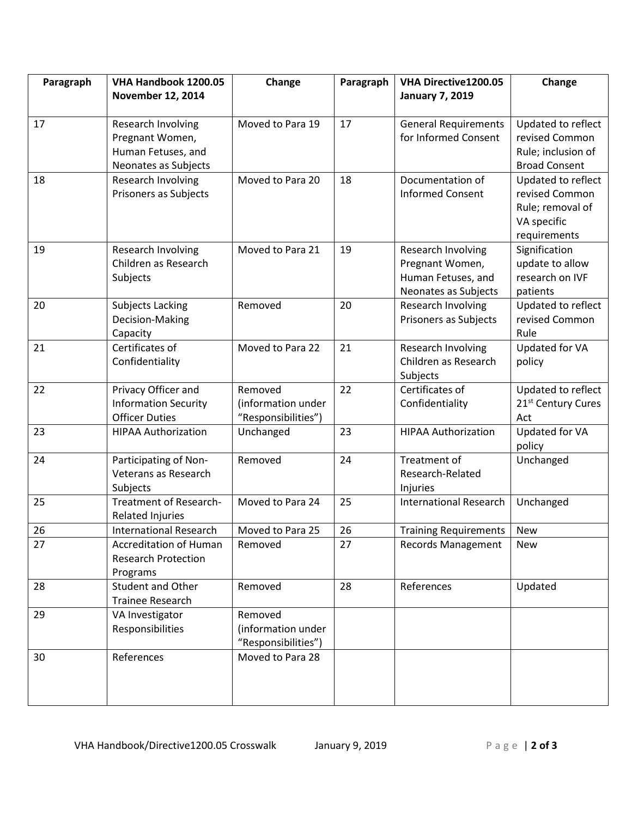| Paragraph | VHA Handbook 1200.05                              | Change              | Paragraph | VHA Directive1200.05                  | Change                         |
|-----------|---------------------------------------------------|---------------------|-----------|---------------------------------------|--------------------------------|
|           | <b>November 12, 2014</b>                          |                     |           | <b>January 7, 2019</b>                |                                |
|           |                                                   |                     |           |                                       |                                |
| 17        | Research Involving                                | Moved to Para 19    | 17        | <b>General Requirements</b>           | Updated to reflect             |
|           | Pregnant Women,                                   |                     |           | for Informed Consent                  | revised Common                 |
|           | Human Fetuses, and                                |                     |           |                                       | Rule; inclusion of             |
|           | Neonates as Subjects                              |                     |           |                                       | <b>Broad Consent</b>           |
| 18        | Research Involving                                | Moved to Para 20    | 18        | Documentation of                      | Updated to reflect             |
|           | Prisoners as Subjects                             |                     |           | <b>Informed Consent</b>               | revised Common                 |
|           |                                                   |                     |           |                                       | Rule; removal of               |
|           |                                                   |                     |           |                                       | VA specific                    |
| 19        |                                                   | Moved to Para 21    | 19        |                                       | requirements<br>Signification  |
|           | Research Involving<br>Children as Research        |                     |           | Research Involving<br>Pregnant Women, | update to allow                |
|           | Subjects                                          |                     |           | Human Fetuses, and                    | research on IVF                |
|           |                                                   |                     |           | Neonates as Subjects                  | patients                       |
| 20        | Subjects Lacking                                  | Removed             | 20        | Research Involving                    | Updated to reflect             |
|           | Decision-Making                                   |                     |           | Prisoners as Subjects                 | revised Common                 |
|           | Capacity                                          |                     |           |                                       | Rule                           |
| 21        | Certificates of                                   | Moved to Para 22    | 21        | Research Involving                    | Updated for VA                 |
|           | Confidentiality                                   |                     |           | Children as Research                  | policy                         |
|           |                                                   |                     |           | Subjects                              |                                |
| 22        | Privacy Officer and                               | Removed             | 22        | Certificates of                       | Updated to reflect             |
|           | <b>Information Security</b>                       | (information under  |           | Confidentiality                       | 21 <sup>st</sup> Century Cures |
|           | <b>Officer Duties</b>                             | "Responsibilities") |           |                                       | Act                            |
| 23        | <b>HIPAA Authorization</b>                        | Unchanged           | 23        | <b>HIPAA Authorization</b>            | Updated for VA                 |
|           |                                                   |                     |           |                                       | policy                         |
| 24        | Participating of Non-                             | Removed             | 24        | Treatment of                          | Unchanged                      |
|           | Veterans as Research                              |                     |           | Research-Related                      |                                |
|           | Subjects                                          |                     |           | Injuries                              |                                |
| 25        | Treatment of Research-                            | Moved to Para 24    | 25        | <b>International Research</b>         | Unchanged                      |
| 26        | Related Injuries<br><b>International Research</b> | Moved to Para 25    | 26        |                                       |                                |
|           | <b>Accreditation of Human</b>                     | Removed             | 27        | <b>Training Requirements</b>          | <b>New</b><br><b>New</b>       |
| 27        | <b>Research Protection</b>                        |                     |           | <b>Records Management</b>             |                                |
|           | Programs                                          |                     |           |                                       |                                |
| 28        | Student and Other                                 | Removed             | 28        | References                            | Updated                        |
|           | <b>Trainee Research</b>                           |                     |           |                                       |                                |
| 29        | VA Investigator                                   | Removed             |           |                                       |                                |
|           | Responsibilities                                  | (information under  |           |                                       |                                |
|           |                                                   | "Responsibilities") |           |                                       |                                |
| 30        | References                                        | Moved to Para 28    |           |                                       |                                |
|           |                                                   |                     |           |                                       |                                |
|           |                                                   |                     |           |                                       |                                |
|           |                                                   |                     |           |                                       |                                |